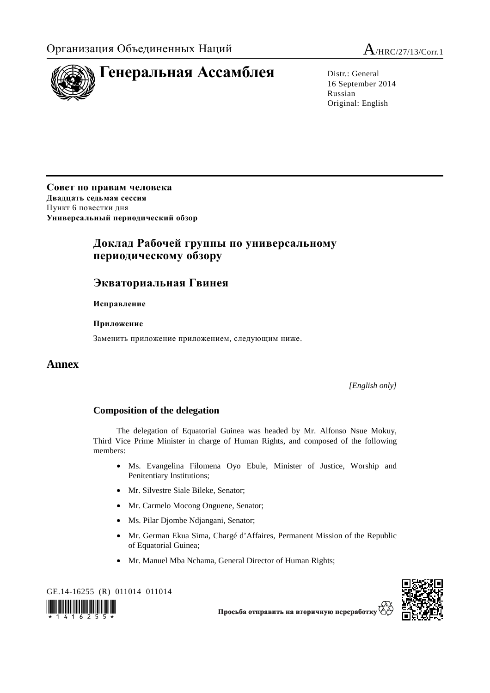

16 September 2014 Russian Original: English

**Совет по правам человека Двадцать седьмая сессия** Пункт 6 повестки дня **Универсальный периодический обзор**

## **Доклад Рабочей группы по универсальному периодическому обзору**

## **Экваториальная Гвинея**

 **Исправление**

 **Приложение**

Заменить приложение приложением, следующим ниже.

## **Annex**

*[English only]* 

## **Composition of the delegation**

The delegation of Equatorial Guinea was headed by Mr. Alfonso Nsue Mokuy, Third Vice Prime Minister in charge of Human Rights, and composed of the following members:

- Ms. Evangelina Filomena Oyo Ebule, Minister of Justice, Worship and Penitentiary Institutions;
- Mr. Silvestre Siale Bileke, Senator;
- Mr. Carmelo Mocong Onguene, Senator;
- Ms. Pilar Djombe Ndjangani, Senator;
- Mr. German Ekua Sima, Chargé d'Affaires, Permanent Mission of the Republic of Equatorial Guinea;
- Mr. Manuel Mba Nchama, General Director of Human Rights;





Просьба отправить на вторичную переработк